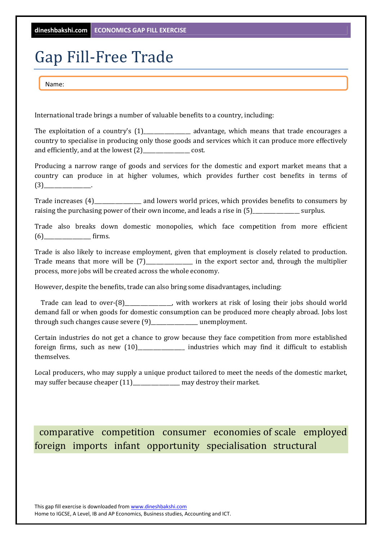## Gap Fill-Free Trade

Name:

International trade brings a number of valuable benefits to a country, including:

The exploitation of a country's  $(1)$  advantage, which means that trade encourages a country to specialise in producing only those goods and services which it can produce more effectively and efficiently, and at the lowest  $(2)$  \_\_\_\_\_\_\_\_\_\_\_\_\_\_\_\_\_\_\_ cost.

Producing a narrow range of goods and services for the domestic and export market means that a country can produce in at higher volumes, which provides further cost benefits in terms of  $(3)$ 

Trade increases (4) Trade increases (4) and lowers world prices, which provides benefits to consumers by raising the purchasing power of their own income, and leads a rise in  $(5)$ \_\_\_\_\_\_\_\_\_\_\_\_\_\_\_\_\_\_\_\_\_\_\_\_ surplus.

Trade also breaks down domestic monopolies, which face competition from more efficient  $(6)$  firms.

Trade is also likely to increase employment, given that employment is closely related to production. Trade means that more will be (7) in the export sector and, through the multiplier process, more jobs will be created across the whole economy.

However, despite the benefits, trade can also bring some disadvantages, including:

Trade can lead to over- $(8)$  with workers at risk of losing their jobs should world demand fall or when goods for domestic consumption can be produced more cheaply abroad. Jobs lost through such changes cause severe  $(9)$ \_\_\_\_\_\_\_\_\_\_\_\_\_\_\_\_\_\_ unemployment.

Certain industries do not get a chance to grow because they face competition from more established foreign firms, such as new  $(10)$ \_\_\_\_\_\_\_\_\_\_\_\_\_\_\_\_\_\_\_\_ industries which may find it difficult to establish themselves. 

Local producers, who may supply a unique product tailored to meet the needs of the domestic market, may suffer because cheaper  $(11)$ \_\_\_\_\_\_\_\_\_\_\_\_\_\_\_\_\_\_ may destroy their market.

comparative competition consumer economies of scale employed foreign imports infant opportunity specialisation structural